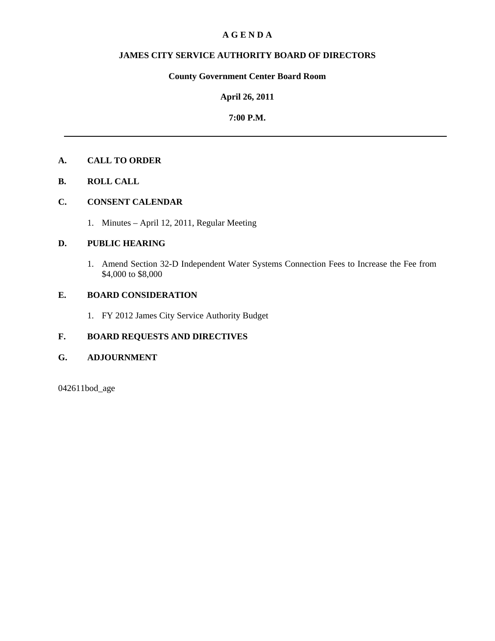## **A G E N D A**

## **JAMES CITY SERVICE AUTHORITY BOARD OF DIRECTORS**

# **County Government Center Board Room**

## **April 26, 2011**

## **7:00 P.M.**

# **A. CALL TO ORDER**

**B. ROLL CALL** 

# **C. CONSENT CALENDAR**

1. Minutes – April 12, 2011, Regular Meeting

# **D. PUBLIC HEARING**

1. Amend Section 32-D Independent Water Systems Connection Fees to Increase the Fee from \$4,000 to \$8,000

# **E. BOARD CONSIDERATION**

1. FY 2012 James City Service Authority Budget

# **F. BOARD REQUESTS AND DIRECTIVES**

## **G. ADJOURNMENT**

042611bod\_age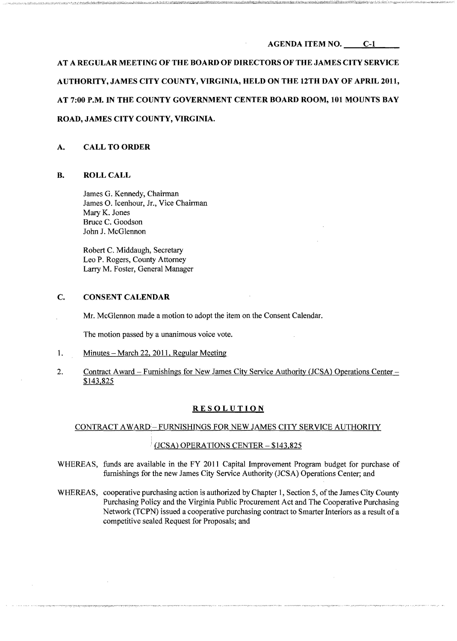#### AGENDA ITEM NO. C-l

AT A REGULAR MEETING OF THE BOARD OF DIRECTORS OF THE JAMES CITY SERVICE AUTHORITY, JAMES CITY COUNTY, VIRGINIA, HELD ON THE 12TH DAY OF APRIL 2011, AT 7:00 P.M. IN THE COUNTY GOVERNMENT CENTER BOARD ROOM, 101 MOUNTS BAY ROAD, JAMES CITY COUNTY, VIRGINIA.

#### A. CALL TO ORDER

#### B. ROLL CALL

James G. Kennedy, Chairman James O. Icenhour, Jr., Vice Chairman Mary K. Jones Bruce C. Goodson John J. McGlennon

Robert C. Middaugh, Secretary Leo P. Rogers, County Attorney Larry M. Foster, General Manager

#### C. CONSENT CALENDAR

Mr. McGlennon made a motion to adopt the item on the Consent Calendar.

The motion passed by a unanimous voice vote.

- 1. Minutes March 22, 2011, Regular Meeting
- 2. Contract Award Furnishings for New James City Service Authority (JCSA) Operations Center \$143,825

#### RESOLUTION

#### CONTRACT AWARD-FURNISHINGS FOR NEW JAMES CITY SERVICE AUTHORITY

#### $(JCSA)$  OPERATIONS CENTER  $- $143,825$

- WHEREAS, funds are available in the FY 2011 Capital Improvement Program budget for purchase of furnishings for the new James City Service Authority (JCSA) Operations Center; and
- WHEREAS, cooperative purchasing action is authorized by Chapter 1, Section 5, of the James City County Purchasing Policy and the Virginia Public Procurement Act and The Cooperative Purchasing Network (TCPN) issued a cooperative purchasing contract to Smarter Interiors as a result ofa competitive sealed Request for Proposals; and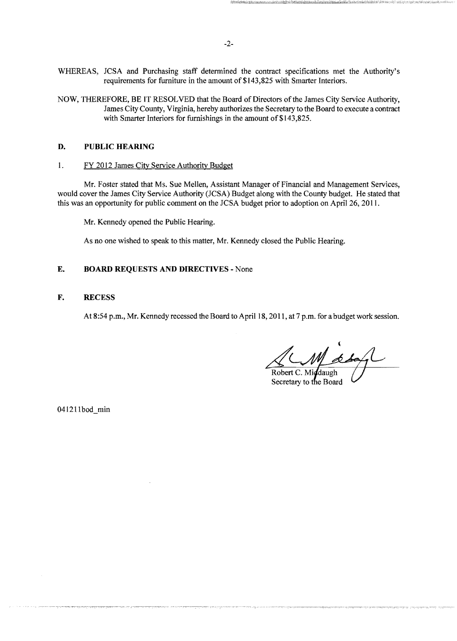- WHEREAS, JCSA and Purchasing staff determined the contract specifications met the Authority's requirements for furniture in the amount of \$143,825 with Smarter Interiors.
- NOW, THEREFORE, BE IT RESOLVED that the Board of Directors of the James City Service Authority, James City County, Virginia, hereby authorizes the Secretary to the Board to execute a contract with Smarter Interiors for furnishings in the amount of \$143,825.

## **D. PUBLIC HEARING**

1. FY 2012 James City Service Authority Budget

Mr. Foster stated that Ms. Sue Mellen, Assistant Manager of Financial and Management Services, would cover the James City Service Authority (JCSA) Budget along with the County budget. He stated that this was an opportunity for public comment on the JCSA budget prior to adoption on April 26, 2011.

Mr. Kennedy opened the Public Hearing.

As no one wished to speak to this matter, Mr. Kennedy closed the Public Hearing.

## **E. BOARD REQUESTS AND DIRECTIVES** - None

**F. RECESS** 

At 8:54 p.m., Mr. Kennedy recessed the Board to April 18, 2011, at 7 p.m. for a budget work session.

Robert C. Middaugh

Secretary to the Board

041211bod min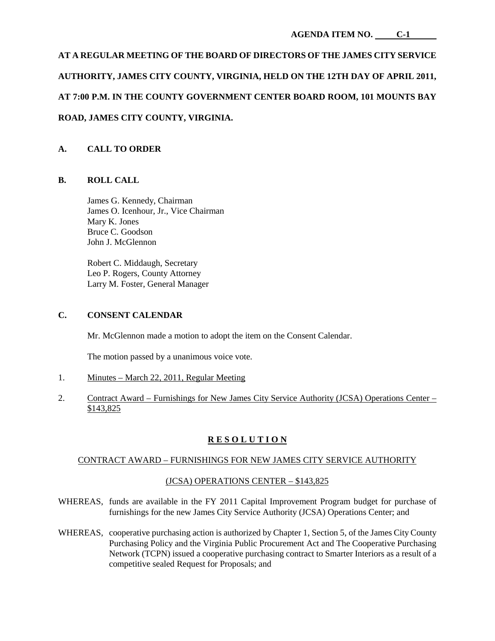# **AT A REGULAR MEETING OF THE BOARD OF DIRECTORS OF THE JAMES CITY SERVICE AUTHORITY, JAMES CITY COUNTY, VIRGINIA, HELD ON THE 12TH DAY OF APRIL 2011, AT 7:00 P.M. IN THE COUNTY GOVERNMENT CENTER BOARD ROOM, 101 MOUNTS BAY ROAD, JAMES CITY COUNTY, VIRGINIA.**

# **A. CALL TO ORDER**

## **B. ROLL CALL**

James G. Kennedy, Chairman James O. Icenhour, Jr., Vice Chairman Mary K. Jones Bruce C. Goodson John J. McGlennon

Robert C. Middaugh, Secretary Leo P. Rogers, County Attorney Larry M. Foster, General Manager

#### **C. CONSENT CALENDAR**

Mr. McGlennon made a motion to adopt the item on the Consent Calendar.

The motion passed by a unanimous voice vote.

- 1. Minutes March 22, 2011, Regular Meeting
- 2. Contract Award Furnishings for New James City Service Authority (JCSA) Operations Center \$143,825

# **R E S O L U T I O N**

## CONTRACT AWARD – FURNISHINGS FOR NEW JAMES CITY SERVICE AUTHORITY

## (JCSA) OPERATIONS CENTER – \$143,825

- WHEREAS, funds are available in the FY 2011 Capital Improvement Program budget for purchase of furnishings for the new James City Service Authority (JCSA) Operations Center; and
- WHEREAS, cooperative purchasing action is authorized by Chapter 1, Section 5, of the James City County Purchasing Policy and the Virginia Public Procurement Act and The Cooperative Purchasing Network (TCPN) issued a cooperative purchasing contract to Smarter Interiors as a result of a competitive sealed Request for Proposals; and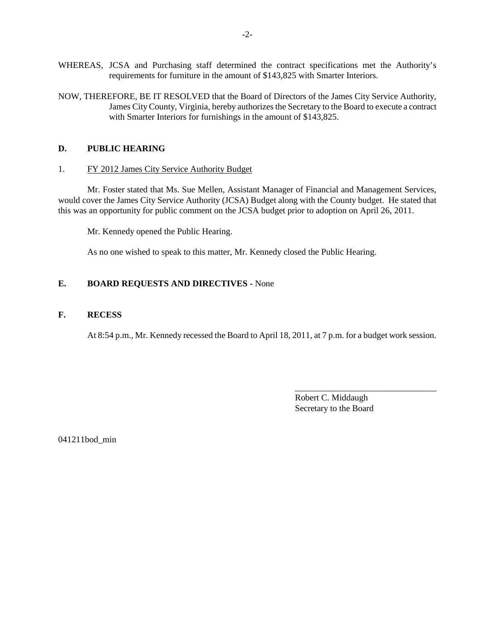- WHEREAS, JCSA and Purchasing staff determined the contract specifications met the Authority's requirements for furniture in the amount of \$143,825 with Smarter Interiors.
- NOW, THEREFORE, BE IT RESOLVED that the Board of Directors of the James City Service Authority, James City County, Virginia, hereby authorizes the Secretary to the Board to execute a contract with Smarter Interiors for furnishings in the amount of \$143,825.

#### **D. PUBLIC HEARING**

#### 1. FY 2012 James City Service Authority Budget

Mr. Foster stated that Ms. Sue Mellen, Assistant Manager of Financial and Management Services, would cover the James City Service Authority (JCSA) Budget along with the County budget. He stated that this was an opportunity for public comment on the JCSA budget prior to adoption on April 26, 2011.

Mr. Kennedy opened the Public Hearing.

As no one wished to speak to this matter, Mr. Kennedy closed the Public Hearing.

#### **E. BOARD REQUESTS AND DIRECTIVES -** None

#### **F. RECESS**

At 8:54 p.m., Mr. Kennedy recessed the Board to April 18, 2011, at 7 p.m. for a budget work session.

Robert C. Middaugh Secretary to the Board

\_\_\_\_\_\_\_\_\_\_\_\_\_\_\_\_\_\_\_\_\_\_\_\_\_\_\_\_\_\_\_\_

041211bod\_min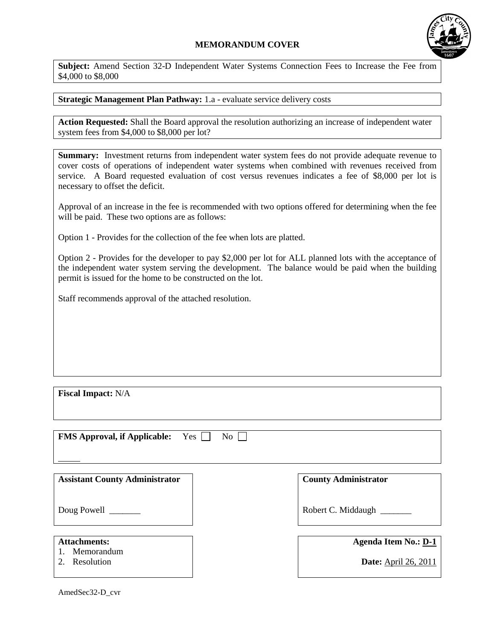## **MEMORANDUM COVER**



**Subject:** Amend Section 32-D Independent Water Systems Connection Fees to Increase the Fee from \$4,000 to \$8,000

## **Strategic Management Plan Pathway:** 1.a - evaluate service delivery costs

**Action Requested:** Shall the Board approval the resolution authorizing an increase of independent water system fees from \$4,000 to \$8,000 per lot?

**Summary:** Investment returns from independent water system fees do not provide adequate revenue to cover costs of operations of independent water systems when combined with revenues received from service. A Board requested evaluation of cost versus revenues indicates a fee of \$8,000 per lot is necessary to offset the deficit.

Approval of an increase in the fee is recommended with two options offered for determining when the fee will be paid. These two options are as follows:

Option 1 - Provides for the collection of the fee when lots are platted.

Option 2 - Provides for the developer to pay \$2,000 per lot for ALL planned lots with the acceptance of the independent water system serving the development. The balance would be paid when the building permit is issued for the home to be constructed on the lot.

Staff recommends approval of the attached resolution.

**Fiscal Impact:** N/A

| <b>FMS Approval, if Applicable:</b><br>Yes<br>No |                                                            |
|--------------------------------------------------|------------------------------------------------------------|
| <b>Assistant County Administrator</b>            | <b>County Administrator</b>                                |
| Doug Powell ________                             | Robert C. Middaugh                                         |
| <b>Attachments:</b><br>Memorandum<br>Resolution  | <b>Agenda Item No.: D-1</b><br><b>Date:</b> April 26, 2011 |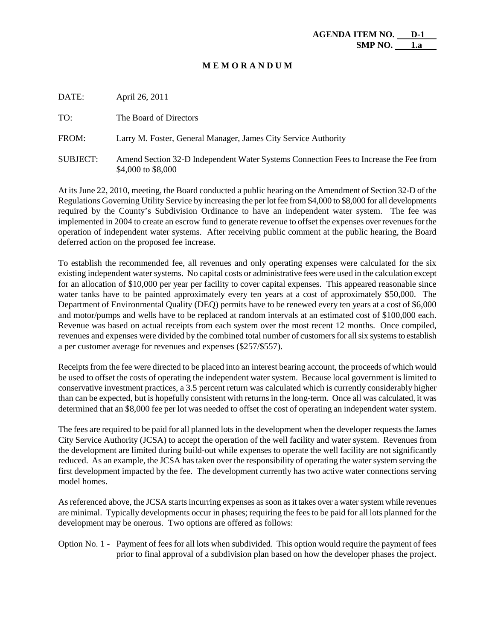#### **M E M O R A N D U M**

| DATE:           | April 26, 2011                                                                                              |
|-----------------|-------------------------------------------------------------------------------------------------------------|
| TO:             | The Board of Directors                                                                                      |
| FROM:           | Larry M. Foster, General Manager, James City Service Authority                                              |
| <b>SUBJECT:</b> | Amend Section 32-D Independent Water Systems Connection Fees to Increase the Fee from<br>\$4,000 to \$8,000 |

At its June 22, 2010, meeting, the Board conducted a public hearing on the Amendment of Section 32-D of the Regulations Governing Utility Service by increasing the per lot fee from \$4,000 to \$8,000 for all developments required by the County's Subdivision Ordinance to have an independent water system. The fee was implemented in 2004 to create an escrow fund to generate revenue to offset the expenses over revenues for the operation of independent water systems. After receiving public comment at the public hearing, the Board deferred action on the proposed fee increase.

To establish the recommended fee, all revenues and only operating expenses were calculated for the six existing independent water systems. No capital costs or administrative fees were used in the calculation except for an allocation of \$10,000 per year per facility to cover capital expenses. This appeared reasonable since water tanks have to be painted approximately every ten years at a cost of approximately \$50,000. The Department of Environmental Quality (DEQ) permits have to be renewed every ten years at a cost of \$6,000 and motor/pumps and wells have to be replaced at random intervals at an estimated cost of \$100,000 each. Revenue was based on actual receipts from each system over the most recent 12 months. Once compiled, revenues and expenses were divided by the combined total number of customers for all six systems to establish a per customer average for revenues and expenses (\$257/\$557).

Receipts from the fee were directed to be placed into an interest bearing account, the proceeds of which would be used to offset the costs of operating the independent water system. Because local government is limited to conservative investment practices, a 3.5 percent return was calculated which is currently considerably higher than can be expected, but is hopefully consistent with returns in the long-term. Once all was calculated, it was determined that an \$8,000 fee per lot was needed to offset the cost of operating an independent water system.

The fees are required to be paid for all planned lots in the development when the developer requests the James City Service Authority (JCSA) to accept the operation of the well facility and water system. Revenues from the development are limited during build-out while expenses to operate the well facility are not significantly reduced. As an example, the JCSA has taken over the responsibility of operating the water system serving the first development impacted by the fee. The development currently has two active water connections serving model homes.

As referenced above, the JCSA starts incurring expenses as soon as it takes over a water system while revenues are minimal. Typically developments occur in phases; requiring the fees to be paid for all lots planned for the development may be onerous. Two options are offered as follows:

Option No. 1 - Payment of fees for all lots when subdivided. This option would require the payment of fees prior to final approval of a subdivision plan based on how the developer phases the project.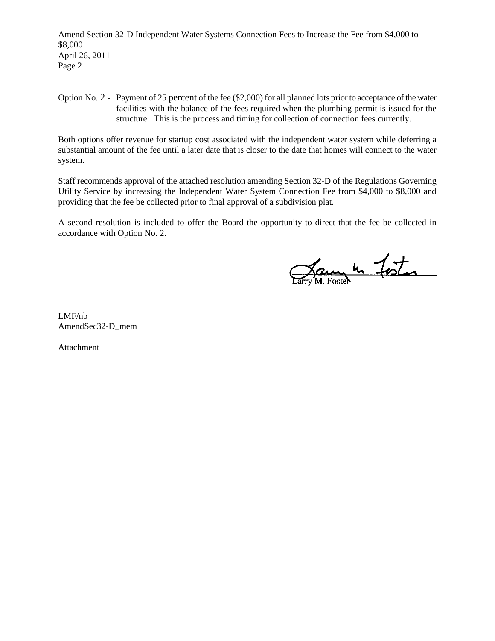Amend Section 32-D Independent Water Systems Connection Fees to Increase the Fee from \$4,000 to \$8,000 April 26, 2011 Page 2

Option No. 2 - Payment of 25 percent of the fee (\$2,000) for all planned lots prior to acceptance of the water facilities with the balance of the fees required when the plumbing permit is issued for the structure. This is the process and timing for collection of connection fees currently.

Both options offer revenue for startup cost associated with the independent water system while deferring a substantial amount of the fee until a later date that is closer to the date that homes will connect to the water system.

Staff recommends approval of the attached resolution amending Section 32-D of the Regulations Governing Utility Service by increasing the Independent Water System Connection Fee from \$4,000 to \$8,000 and providing that the fee be collected prior to final approval of a subdivision plat.

A second resolution is included to offer the Board the opportunity to direct that the fee be collected in accordance with Option No. 2.

Jam h Foster

LMF/nb AmendSec32-D\_mem

Attachment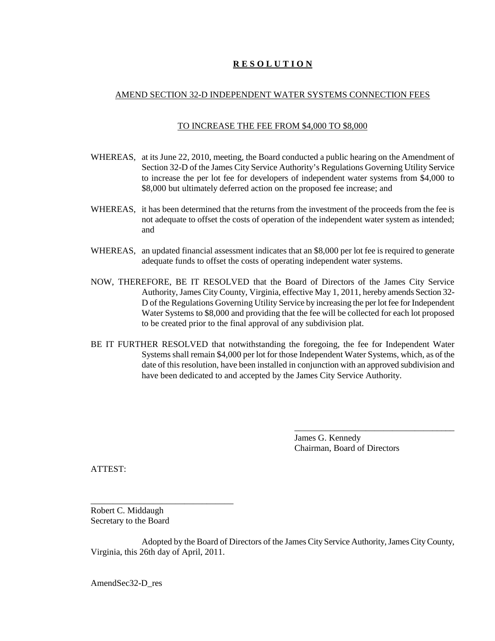## **R E S O L U T I O N**

## AMEND SECTION 32-D INDEPENDENT WATER SYSTEMS CONNECTION FEES

#### TO INCREASE THE FEE FROM \$4,000 TO \$8,000

- WHEREAS, at its June 22, 2010, meeting, the Board conducted a public hearing on the Amendment of Section 32-D of the James City Service Authority's Regulations Governing Utility Service to increase the per lot fee for developers of independent water systems from \$4,000 to \$8,000 but ultimately deferred action on the proposed fee increase; and
- WHEREAS, it has been determined that the returns from the investment of the proceeds from the fee is not adequate to offset the costs of operation of the independent water system as intended; and
- WHEREAS, an updated financial assessment indicates that an \$8,000 per lot fee is required to generate adequate funds to offset the costs of operating independent water systems.
- NOW, THEREFORE, BE IT RESOLVED that the Board of Directors of the James City Service Authority, James City County, Virginia, effective May 1, 2011, hereby amends Section 32- D of the Regulations Governing Utility Service by increasing the per lot fee for Independent Water Systems to \$8,000 and providing that the fee will be collected for each lot proposed to be created prior to the final approval of any subdivision plat.
- BE IT FURTHER RESOLVED that notwithstanding the foregoing, the fee for Independent Water Systems shall remain \$4,000 per lot for those Independent Water Systems, which, as of the date of this resolution, have been installed in conjunction with an approved subdivision and have been dedicated to and accepted by the James City Service Authority.

James G. Kennedy Chairman, Board of Directors

\_\_\_\_\_\_\_\_\_\_\_\_\_\_\_\_\_\_\_\_\_\_\_\_\_\_\_\_\_\_\_\_\_\_\_\_

ATTEST:

Robert C. Middaugh Secretary to the Board

\_\_\_\_\_\_\_\_\_\_\_\_\_\_\_\_\_\_\_\_\_\_\_\_\_\_\_\_\_\_\_\_

Adopted by the Board of Directors of the James City Service Authority, James City County, Virginia, this 26th day of April, 2011.

AmendSec32-D\_res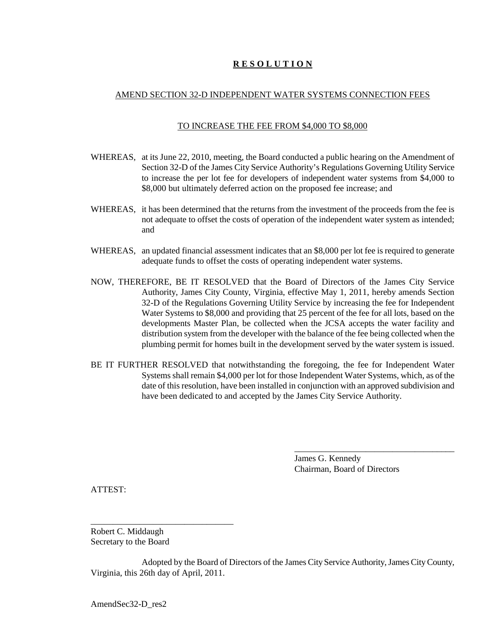## **R E S O L U T I O N**

## AMEND SECTION 32-D INDEPENDENT WATER SYSTEMS CONNECTION FEES

#### TO INCREASE THE FEE FROM \$4,000 TO \$8,000

- WHEREAS, at its June 22, 2010, meeting, the Board conducted a public hearing on the Amendment of Section 32-D of the James City Service Authority's Regulations Governing Utility Service to increase the per lot fee for developers of independent water systems from \$4,000 to \$8,000 but ultimately deferred action on the proposed fee increase; and
- WHEREAS, it has been determined that the returns from the investment of the proceeds from the fee is not adequate to offset the costs of operation of the independent water system as intended; and
- WHEREAS, an updated financial assessment indicates that an \$8,000 per lot fee is required to generate adequate funds to offset the costs of operating independent water systems.
- NOW, THEREFORE, BE IT RESOLVED that the Board of Directors of the James City Service Authority, James City County, Virginia, effective May 1, 2011, hereby amends Section 32-D of the Regulations Governing Utility Service by increasing the fee for Independent Water Systems to \$8,000 and providing that 25 percent of the fee for all lots, based on the developments Master Plan, be collected when the JCSA accepts the water facility and distribution system from the developer with the balance of the fee being collected when the plumbing permit for homes built in the development served by the water system is issued.
- BE IT FURTHER RESOLVED that notwithstanding the foregoing, the fee for Independent Water Systems shall remain \$4,000 per lot for those Independent Water Systems, which, as of the date of this resolution, have been installed in conjunction with an approved subdivision and have been dedicated to and accepted by the James City Service Authority.

James G. Kennedy Chairman, Board of Directors

\_\_\_\_\_\_\_\_\_\_\_\_\_\_\_\_\_\_\_\_\_\_\_\_\_\_\_\_\_\_\_\_\_\_\_\_

ATTEST:

Robert C. Middaugh Secretary to the Board

\_\_\_\_\_\_\_\_\_\_\_\_\_\_\_\_\_\_\_\_\_\_\_\_\_\_\_\_\_\_\_\_

Adopted by the Board of Directors of the James City Service Authority, James City County, Virginia, this 26th day of April, 2011.

AmendSec32-D\_res2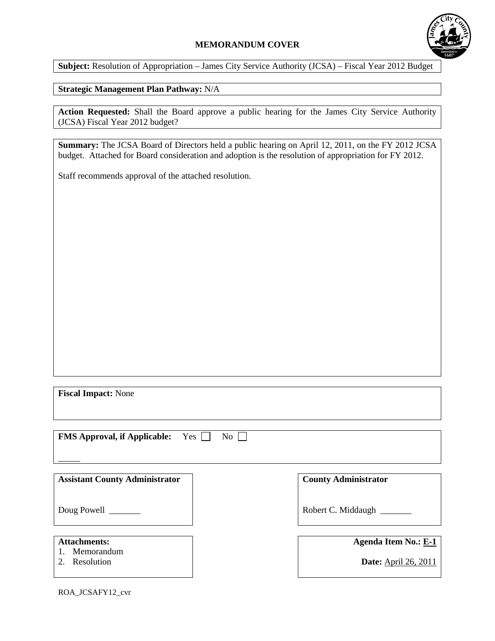## **MEMORANDUM COVER**



**Subject:** Resolution of Appropriation – James City Service Authority (JCSA) – Fiscal Year 2012 Budget

# **Strategic Management Plan Pathway:** N/A

**Action Requested:** Shall the Board approve a public hearing for the James City Service Authority (JCSA) Fiscal Year 2012 budget?

**Summary:** The JCSA Board of Directors held a public hearing on April 12, 2011, on the FY 2012 JCSA budget. Attached for Board consideration and adoption is the resolution of appropriation for FY 2012.

Staff recommends approval of the attached resolution.

**Fiscal Impact:** None

| <b>FMS Approval, if Applicable:</b><br>Yes<br>No |                             |
|--------------------------------------------------|-----------------------------|
| <b>Assistant County Administrator</b>            | <b>County Administrator</b> |
| Doug Powell ________                             | Robert C. Middaugh          |
| <b>Attachments:</b><br>Memorandum                | <b>Agenda Item No.: E-1</b> |

2. Resolution

**Date:** April 26, 2011

ROA\_JCSAFY12\_cvr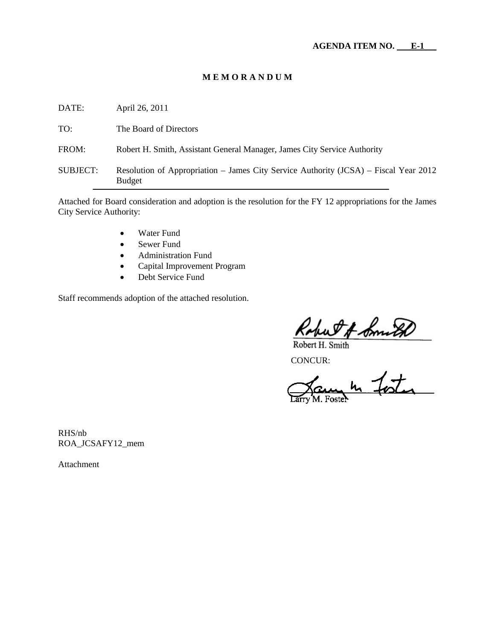## **M E M O R A N D U M**

| DATE:           | April 26, 2011                                                                                        |
|-----------------|-------------------------------------------------------------------------------------------------------|
| TO:             | The Board of Directors                                                                                |
| FROM:           | Robert H. Smith, Assistant General Manager, James City Service Authority                              |
| <b>SUBJECT:</b> | Resolution of Appropriation – James City Service Authority (JCSA) – Fiscal Year 2012<br><b>Budget</b> |
|                 |                                                                                                       |

Attached for Board consideration and adoption is the resolution for the FY 12 appropriations for the James City Service Authority:

- Water Fund
- Sewer Fund
- Administration Fund
- Capital Improvement Program
- Debt Service Fund

Staff recommends adoption of the attached resolution.

Robert H. Smith<br>Robert H. Smith<br>CONCUR:<br>Carry M. Foster

RHS/nb ROA\_JCSAFY12\_mem

Attachment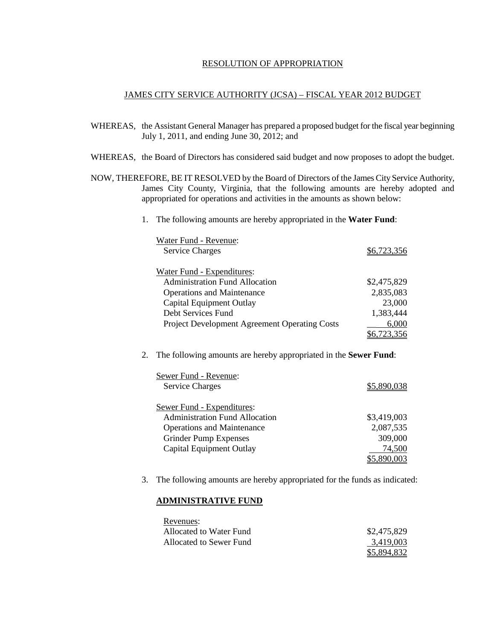#### RESOLUTION OF APPROPRIATION

#### JAMES CITY SERVICE AUTHORITY (JCSA) – FISCAL YEAR 2012 BUDGET

- WHEREAS, the Assistant General Manager has prepared a proposed budget for the fiscal year beginning July 1, 2011, and ending June 30, 2012; and
- WHEREAS, the Board of Directors has considered said budget and now proposes to adopt the budget.
- NOW, THEREFORE, BE IT RESOLVED by the Board of Directors of the James City Service Authority, James City County, Virginia, that the following amounts are hereby adopted and appropriated for operations and activities in the amounts as shown below:
	- 1. The following amounts are hereby appropriated in the **Water Fund**:

| Water Fund - Revenue:                         |             |
|-----------------------------------------------|-------------|
| <b>Service Charges</b>                        | \$6.723.356 |
|                                               |             |
| Water Fund - Expenditures:                    |             |
| <b>Administration Fund Allocation</b>         | \$2,475,829 |
| <b>Operations and Maintenance</b>             | 2,835,083   |
| Capital Equipment Outlay                      | 23,000      |
| Debt Services Fund                            | 1,383,444   |
| Project Development Agreement Operating Costs | 6,000       |
|                                               | 6,723,356   |

2. The following amounts are hereby appropriated in the **Sewer Fund**:

| Sewer Fund - Revenue:                 |             |
|---------------------------------------|-------------|
| <b>Service Charges</b>                | \$580       |
| Sewer Fund - Expenditures:            |             |
| <b>Administration Fund Allocation</b> | \$3,419,003 |
| <b>Operations and Maintenance</b>     | 2,087,535   |
| <b>Grinder Pump Expenses</b>          | 309,000     |
| <b>Capital Equipment Outlay</b>       | 74.500      |
|                                       |             |

3. The following amounts are hereby appropriated for the funds as indicated:

#### **ADMINISTRATIVE FUND**

| Revenues:               |                    |
|-------------------------|--------------------|
| Allocated to Water Fund | \$2,475,829        |
| Allocated to Sewer Fund | 3.419.003          |
|                         | <u>\$5,894,832</u> |